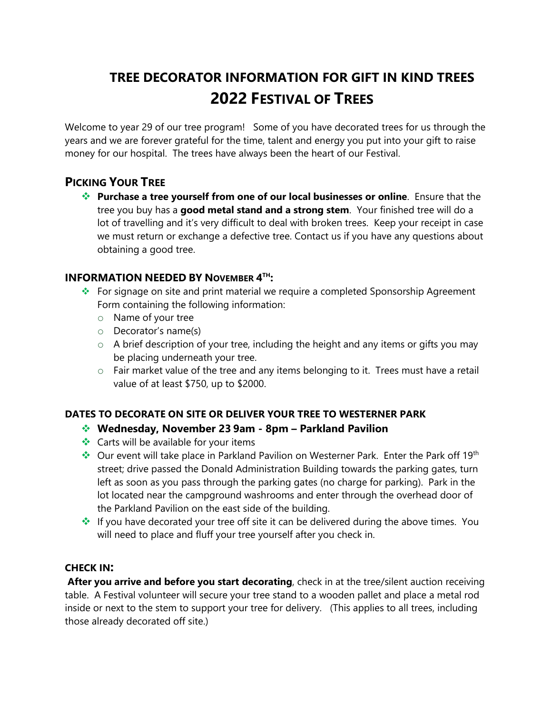# **TREE DECORATOR INFORMATION FOR GIFT IN KIND TREES 2022 FESTIVAL OF TREES**

Welcome to year 29 of our tree program! Some of you have decorated trees for us through the years and we are forever grateful for the time, talent and energy you put into your gift to raise money for our hospital. The trees have always been the heart of our Festival.

## **PICKING YOUR TREE**

 **Purchase a tree yourself from one of our local businesses or online**. Ensure that the tree you buy has a **good metal stand and a strong stem**. Your finished tree will do a lot of travelling and it's very difficult to deal with broken trees. Keep your receipt in case we must return or exchange a defective tree. Contact us if you have any questions about obtaining a good tree.

#### **INFORMATION NEEDED BY NOVEMBER 4 TH:**

- ◆ For signage on site and print material we require a completed Sponsorship Agreement Form containing the following information:
	- o Name of your tree
	- o Decorator's name(s)
	- o A brief description of your tree, including the height and any items or gifts you may be placing underneath your tree.
	- o Fair market value of the tree and any items belonging to it. Trees must have a retail value of at least \$750, up to \$2000.

#### **DATES TO DECORATE ON SITE OR DELIVER YOUR TREE TO WESTERNER PARK**

## **Wednesday, November 23 9am - 8pm – Parkland Pavilion**

- $\triangleleft$  Carts will be available for your items
- $\cdot$  Our event will take place in Parkland Pavilion on Westerner Park. Enter the Park off 19<sup>th</sup> street; drive passed the Donald Administration Building towards the parking gates, turn left as soon as you pass through the parking gates (no charge for parking). Park in the lot located near the campground washrooms and enter through the overhead door of the Parkland Pavilion on the east side of the building.
- If you have decorated your tree off site it can be delivered during the above times. You will need to place and fluff your tree yourself after you check in.

#### **CHECK IN:**

**After you arrive and before you start decorating**, check in at the tree/silent auction receiving table. A Festival volunteer will secure your tree stand to a wooden pallet and place a metal rod inside or next to the stem to support your tree for delivery. (This applies to all trees, including those already decorated off site.)